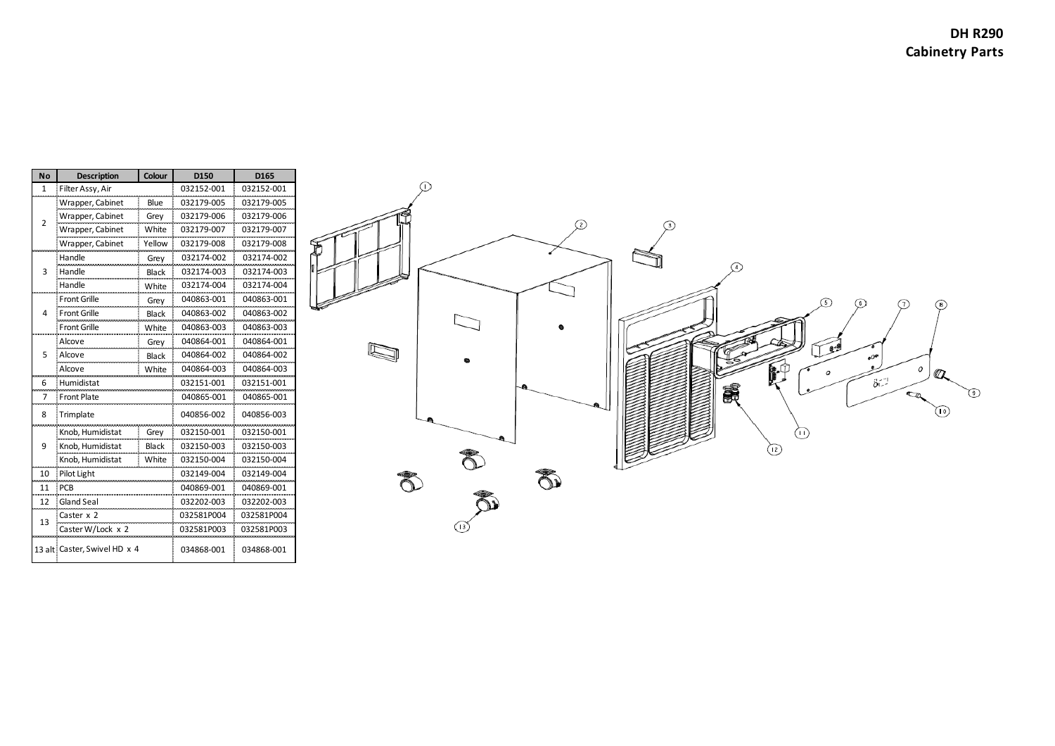| No           | <b>Description</b>           | Colour       | D150       | D165       |
|--------------|------------------------------|--------------|------------|------------|
| $\mathbf{1}$ | Filter Assy, Air             |              | 032152-001 | 032152-001 |
| 2            | Wrapper, Cabinet             | Blue         | 032179-005 | 032179-005 |
|              | Wrapper, Cabinet             | Grey         | 032179-006 | 032179-006 |
|              | Wrapper, Cabinet             | White        | 032179-007 | 032179-007 |
|              | Wrapper, Cabinet             | Yellow       | 032179-008 | 032179-008 |
| 3            | Handle                       | Grey         | 032174-002 | 032174-002 |
|              | Handle                       | <b>Black</b> | 032174-003 | 032174-003 |
|              | Handle                       | White        | 032174-004 | 032174-004 |
| 4            | <b>Front Grille</b>          | Grey         | 040863-001 | 040863-001 |
|              | <b>Front Grille</b>          | <b>Black</b> | 040863-002 | 040863-002 |
|              | <b>Front Grille</b>          | White        | 040863-003 | 040863-003 |
| 5            | Alcove                       | Grey         | 040864-001 | 040864-001 |
|              | Alcove                       | <b>Black</b> | 040864-002 | 040864-002 |
|              | Alcove                       | White        | 040864-003 | 040864-003 |
| 6            | Humidistat                   |              | 032151-001 | 032151-001 |
| 7            | <b>Front Plate</b>           |              | 040865-001 | 040865-001 |
| 8            | Trimplate                    |              | 040856-002 | 040856-003 |
|              | Knob, Humidistat             | Grey         | 032150-001 | 032150-001 |
| 9            | Knob, Humidistat             | <b>Black</b> | 032150-003 | 032150-003 |
|              | Knob. Humidistat             | White        | 032150-004 | 032150-004 |
| 10           | Pilot Light                  |              | 032149-004 | 032149-004 |
| 11           | <b>PCB</b>                   |              | 040869-001 | 040869-001 |
| 12           | <b>Gland Seal</b>            |              | 032202-003 | 032202-003 |
|              | Caster x 2                   |              | 032581P004 | 032581P004 |
| 13           | Caster W/Lock x 2            |              | 032581P003 | 032581P003 |
|              |                              |              |            |            |
|              | 13 alt Caster, Swivel HD x 4 |              | 034868-001 | 034868-001 |